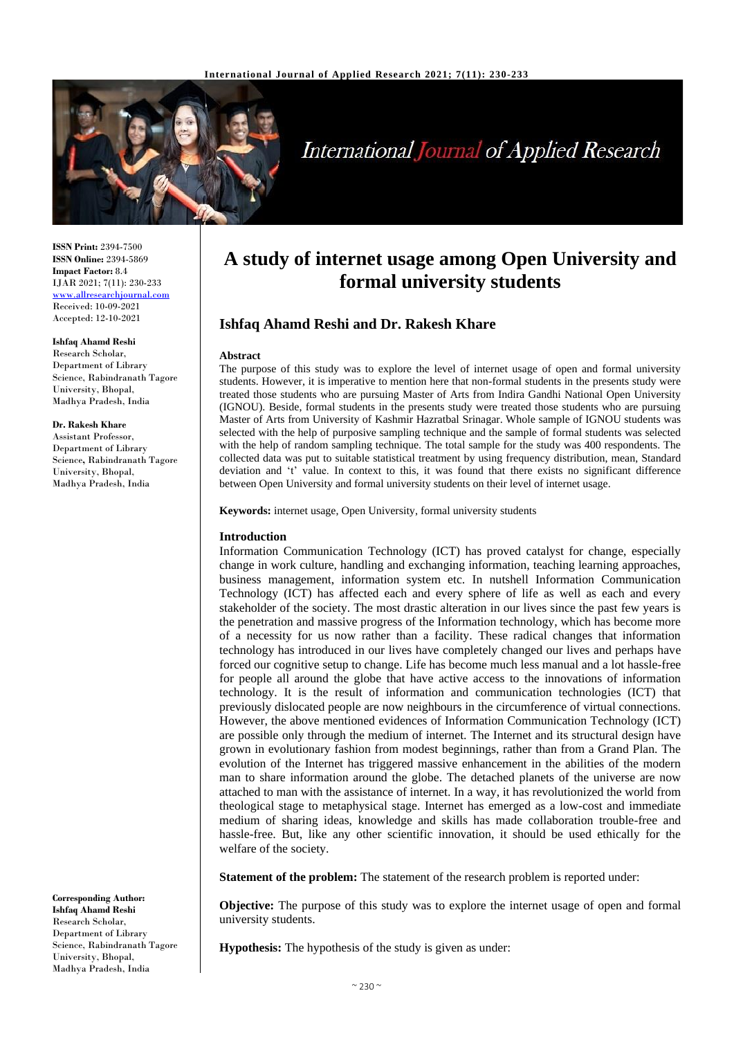

# **International Journal of Applied Research**

**ISSN Print:** 2394-7500 **ISSN Online:** 2394-5869 **Impact Factor:** 8.4 IJAR 2021; 7(11): 230-233 <www.allresearchjournal.com> Received: 10-09-2021 Accepted: 12-10-2021

#### **Ishfaq Ahamd Reshi**

Research Scholar, Department of Library Science, Rabindranath Tagore University, Bhopal, Madhya Pradesh, India

**Dr. Rakesh Khare** Assistant Professor, Department of Library Science**,** Rabindranath Tagore University, Bhopal,

Madhya Pradesh, India

**Corresponding Author: Ishfaq Ahamd Reshi** Research Scholar, Department of Library Science, Rabindranath Tagore University, Bhopal, Madhya Pradesh, India

## **A study of internet usage among Open University and formal university students**

### **Ishfaq Ahamd Reshi and Dr. Rakesh Khare**

#### **Abstract**

The purpose of this study was to explore the level of internet usage of open and formal university students. However, it is imperative to mention here that non-formal students in the presents study were treated those students who are pursuing Master of Arts from Indira Gandhi National Open University (IGNOU). Beside, formal students in the presents study were treated those students who are pursuing Master of Arts from University of Kashmir Hazratbal Srinagar. Whole sample of IGNOU students was selected with the help of purposive sampling technique and the sample of formal students was selected with the help of random sampling technique. The total sample for the study was 400 respondents. The collected data was put to suitable statistical treatment by using frequency distribution, mean, Standard deviation and 't' value. In context to this, it was found that there exists no significant difference between Open University and formal university students on their level of internet usage.

**Keywords:** internet usage, Open University, formal university students

#### **Introduction**

Information Communication Technology (ICT) has proved catalyst for change, especially change in work culture, handling and exchanging information, teaching learning approaches, business management, information system etc. In nutshell Information Communication Technology (ICT) has affected each and every sphere of life as well as each and every stakeholder of the society. The most drastic alteration in our lives since the past few years is the penetration and massive progress of the Information technology, which has become more of a necessity for us now rather than a facility. These radical changes that information technology has introduced in our lives have completely changed our lives and perhaps have forced our cognitive setup to change. Life has become much less manual and a lot hassle-free for people all around the globe that have active access to the innovations of information technology. It is the result of information and communication technologies (ICT) that previously dislocated people are now neighbours in the circumference of virtual connections. However, the above mentioned evidences of Information Communication Technology (ICT) are possible only through the medium of internet. The Internet and its structural design have grown in evolutionary fashion from modest beginnings, rather than from a Grand Plan. The evolution of the Internet has triggered massive enhancement in the abilities of the modern man to share information around the globe. The detached planets of the universe are now attached to man with the assistance of internet. In a way, it has revolutionized the world from theological stage to metaphysical stage. Internet has emerged as a low-cost and immediate medium of sharing ideas, knowledge and skills has made collaboration trouble-free and hassle-free. But, like any other scientific innovation, it should be used ethically for the welfare of the society.

**Statement of the problem:** The statement of the research problem is reported under:

**Objective:** The purpose of this study was to explore the internet usage of open and formal university students.

**Hypothesis:** The hypothesis of the study is given as under: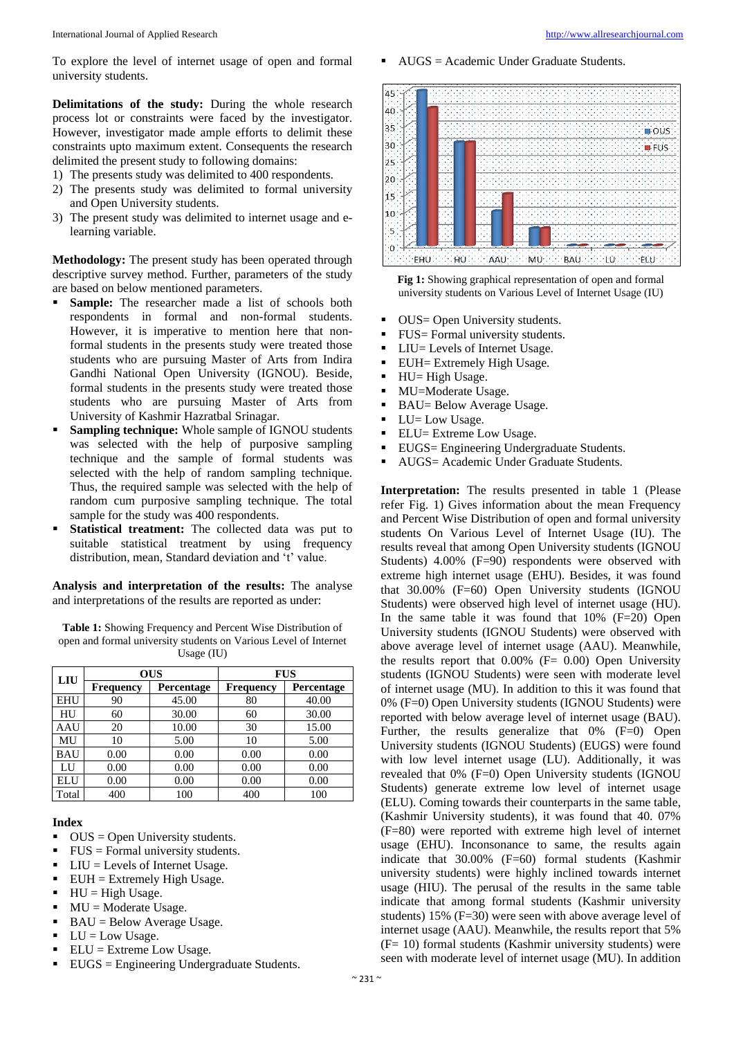International Journal of Applied Research [http://www.allresearchjournal.com](http://www.allresearchjournal.com/)

To explore the level of internet usage of open and formal university students.

**Delimitations of the study:** During the whole research process lot or constraints were faced by the investigator. However, investigator made ample efforts to delimit these constraints upto maximum extent. Consequents the research delimited the present study to following domains:

- 1) The presents study was delimited to 400 respondents.
- 2) The presents study was delimited to formal university and Open University students.
- 3) The present study was delimited to internet usage and elearning variable.

**Methodology:** The present study has been operated through descriptive survey method. Further, parameters of the study are based on below mentioned parameters.

- Sample: The researcher made a list of schools both respondents in formal and non-formal students. However, it is imperative to mention here that nonformal students in the presents study were treated those students who are pursuing Master of Arts from Indira Gandhi National Open University (IGNOU). Beside, formal students in the presents study were treated those students who are pursuing Master of Arts from University of Kashmir Hazratbal Srinagar.
- **Sampling technique:** Whole sample of IGNOU students was selected with the help of purposive sampling technique and the sample of formal students was selected with the help of random sampling technique. Thus, the required sample was selected with the help of random cum purposive sampling technique. The total sample for the study was 400 respondents.
- **Statistical treatment:** The collected data was put to suitable statistical treatment by using frequency distribution, mean, Standard deviation and 't' value.

**Analysis and interpretation of the results:** The analyse and interpretations of the results are reported as under:

**Table 1:** Showing Frequency and Percent Wise Distribution of open and formal university students on Various Level of Internet Usage (IU)

| LIU        | <b>OUS</b>       |            | <b>FUS</b>       |            |  |
|------------|------------------|------------|------------------|------------|--|
|            | <b>Frequency</b> | Percentage | <b>Frequency</b> | Percentage |  |
| <b>EHU</b> | 90               | 45.00      | 80               | 40.00      |  |
| HU         | 60               | 30.00      | 60               | 30.00      |  |
| AAU        | 20               | 10.00      | 30               | 15.00      |  |
| MU         | 10               | 5.00       | 10               | 5.00       |  |
| <b>BAU</b> | 0.00             | 0.00       | 0.00             | 0.00       |  |
| LU         | 0.00             | 0.00       | 0.00             | 0.00       |  |
| ELU        | 0.00             | 0.00       | 0.00             | 0.00       |  |
| Total      | 400              | 100        | 400              | 100        |  |

#### **Index**

- $OUS = Open University students.$
- $\blacksquare$  FUS = Formal university students.
- $\blacksquare$  LIU = Levels of Internet Usage.
- $EUH = Extremely High Usage.$
- $HU = High Usage.$
- $MU = Moderate Usage.$
- $\blacksquare$  BAU = Below Average Usage.
- $\blacksquare$  LU = Low Usage.
- $\blacksquare$  ELU = Extreme Low Usage.
- EUGS = Engineering Undergraduate Students.

AUGS = Academic Under Graduate Students.



**Fig 1:** Showing graphical representation of open and formal university students on Various Level of Internet Usage (IU)

- OUS = Open University students.
- $\blacksquare$  FUS= Formal university students.
- LIU= Levels of Internet Usage.
- **EUH** Extremely High Usage.
- $\blacksquare$  HU= High Usage.
- MU=Moderate Usage.
- BAU= Below Average Usage.
- LU= Low Usage.
- ELU= Extreme Low Usage.
- **EUGS**= Engineering Undergraduate Students.
- AUGS= Academic Under Graduate Students.

**Interpretation:** The results presented in table 1 (Please refer Fig. 1) Gives information about the mean Frequency and Percent Wise Distribution of open and formal university students On Various Level of Internet Usage (IU). The results reveal that among Open University students (IGNOU Students) 4.00% (F=90) respondents were observed with extreme high internet usage (EHU). Besides, it was found that 30.00% (F=60) Open University students (IGNOU Students) were observed high level of internet usage (HU). In the same table it was found that  $10\%$  (F=20) Open University students (IGNOU Students) were observed with above average level of internet usage (AAU). Meanwhile, the results report that  $0.00\%$  (F= 0.00) Open University students (IGNOU Students) were seen with moderate level of internet usage (MU). In addition to this it was found that 0% (F=0) Open University students (IGNOU Students) were reported with below average level of internet usage (BAU). Further, the results generalize that 0% (F=0) Open University students (IGNOU Students) (EUGS) were found with low level internet usage (LU). Additionally, it was revealed that 0% (F=0) Open University students (IGNOU Students) generate extreme low level of internet usage (ELU). Coming towards their counterparts in the same table, (Kashmir University students), it was found that 40. 07% (F=80) were reported with extreme high level of internet usage (EHU). Inconsonance to same, the results again indicate that 30.00% (F=60) formal students (Kashmir university students) were highly inclined towards internet usage (HIU). The perusal of the results in the same table indicate that among formal students (Kashmir university students) 15% (F=30) were seen with above average level of internet usage (AAU). Meanwhile, the results report that 5% (F= 10) formal students (Kashmir university students) were seen with moderate level of internet usage (MU). In addition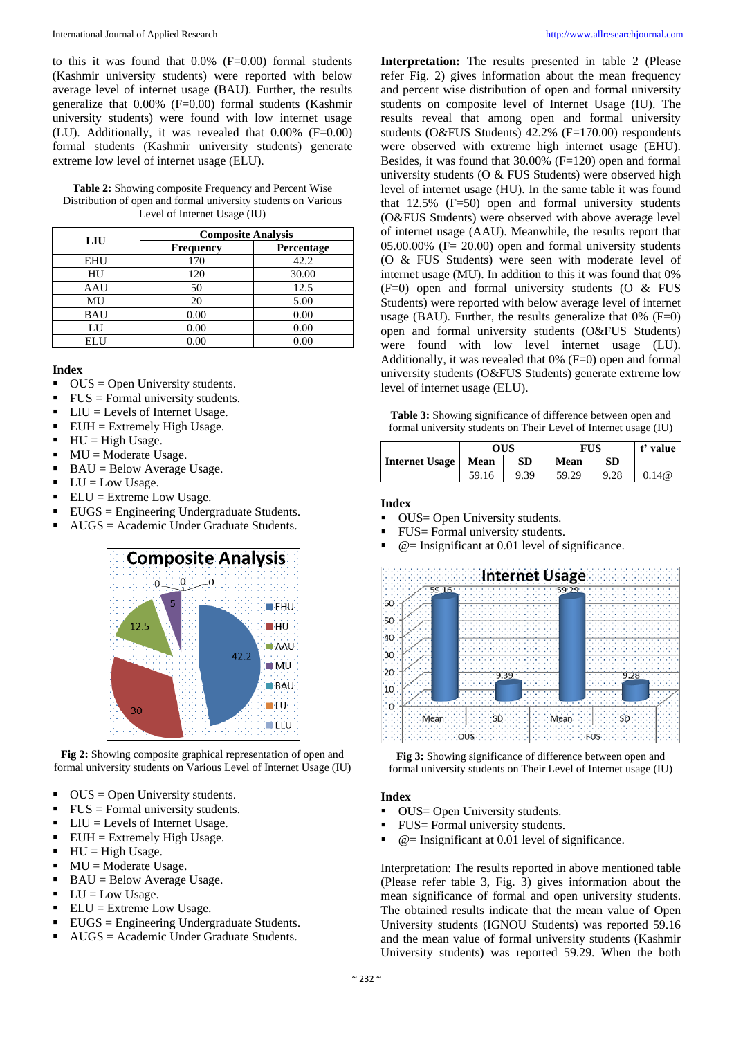to this it was found that  $0.0\%$  (F=0.00) formal students (Kashmir university students) were reported with below average level of internet usage (BAU). Further, the results generalize that  $0.00\%$  (F=0.00) formal students (Kashmir university students) were found with low internet usage (LU). Additionally, it was revealed that 0.00% (F=0.00) formal students (Kashmir university students) generate extreme low level of internet usage (ELU).

**Table 2:** Showing composite Frequency and Percent Wise Distribution of open and formal university students on Various Level of Internet Usage (IU)

| LIU        | <b>Composite Analysis</b> |            |  |  |
|------------|---------------------------|------------|--|--|
|            | <b>Frequency</b>          | Percentage |  |  |
| <b>EHU</b> | 170                       | 42.2       |  |  |
| HU         | 120                       | 30.00      |  |  |
| AAU        | 50                        | 12.5       |  |  |
| MU         | 20                        | 5.00       |  |  |
| <b>BAU</b> | 0.00                      | 0.00       |  |  |
| LU         | 0.00                      | 0.00       |  |  |
| ELU        | 0.00                      | 0.00       |  |  |

#### **Index**

- $\bullet$  OUS = Open University students.
- $\text{FUS} = \text{Formal university students.}$
- $\blacksquare$  LIU = Levels of Internet Usage.
- $\blacksquare$  EUH = Extremely High Usage.
- $HU = High Usage.$
- $\blacksquare$  MU = Moderate Usage.
- $\blacksquare$  BAU = Below Average Usage.
- $\blacksquare$  LU = Low Usage.
- $\blacksquare$  ELU = Extreme Low Usage.
- EUGS = Engineering Undergraduate Students.
- AUGS = Academic Under Graduate Students.



**Fig 2:** Showing composite graphical representation of open and formal university students on Various Level of Internet Usage (IU)

- $\bullet$  OUS = Open University students.
- $\blacksquare$  FUS = Formal university students.
- $\blacksquare$  LIU = Levels of Internet Usage.
- $EUH = Extremely High Usage.$
- $\blacksquare$  HU = High Usage.
- $\blacksquare$  MU = Moderate Usage.
- $\blacksquare$  BAU = Below Average Usage.
- $\blacksquare$  LU = Low Usage.
- $\blacksquare$  ELU = Extreme Low Usage.
- EUGS = Engineering Undergraduate Students.
- $AUGS = Academic Under Graduate Students.$

**Interpretation:** The results presented in table 2 (Please refer Fig. 2) gives information about the mean frequency and percent wise distribution of open and formal university students on composite level of Internet Usage (IU). The results reveal that among open and formal university students (O&FUS Students) 42.2% (F=170.00) respondents were observed with extreme high internet usage (EHU). Besides, it was found that 30.00% (F=120) open and formal university students (O & FUS Students) were observed high level of internet usage (HU). In the same table it was found that  $12.5\%$  (F=50) open and formal university students (O&FUS Students) were observed with above average level of internet usage (AAU). Meanwhile, the results report that  $05.00.00\%$  (F= 20.00) open and formal university students (O & FUS Students) were seen with moderate level of internet usage (MU). In addition to this it was found that 0% (F=0) open and formal university students (O & FUS Students) were reported with below average level of internet usage (BAU). Further, the results generalize that  $0\%$  (F=0) open and formal university students (O&FUS Students) were found with low level internet usage (LU). Additionally, it was revealed that 0% (F=0) open and formal university students (O&FUS Students) generate extreme low level of internet usage (ELU).

| <b>Table 3:</b> Showing significance of difference between open and |  |
|---------------------------------------------------------------------|--|
| formal university students on Their Level of Internet usage (IU)    |  |

|                       | OUS   |      | FUS   |           | t' value |
|-----------------------|-------|------|-------|-----------|----------|
| <b>Internet Usage</b> | Mean  | SD   | Mean  | <b>SD</b> |          |
|                       | 59.16 | 9.39 | 59.29 | 9.28      | 0.14@    |

#### **Index**

- OUS = Open University students.
- FUS= Formal university students.
- $\bullet$   $\textcircled{e}$  = Insignificant at 0.01 level of significance.



**Fig 3:** Showing significance of difference between open and formal university students on Their Level of Internet usage (IU)

#### **Index**

- OUS = Open University students.
- FUS= Formal university students.
- $\bullet$   $\textcircled{e}$  = Insignificant at 0.01 level of significance.

Interpretation: The results reported in above mentioned table (Please refer table 3, Fig. 3) gives information about the mean significance of formal and open university students. The obtained results indicate that the mean value of Open University students (IGNOU Students) was reported 59.16 and the mean value of formal university students (Kashmir University students) was reported 59.29. When the both